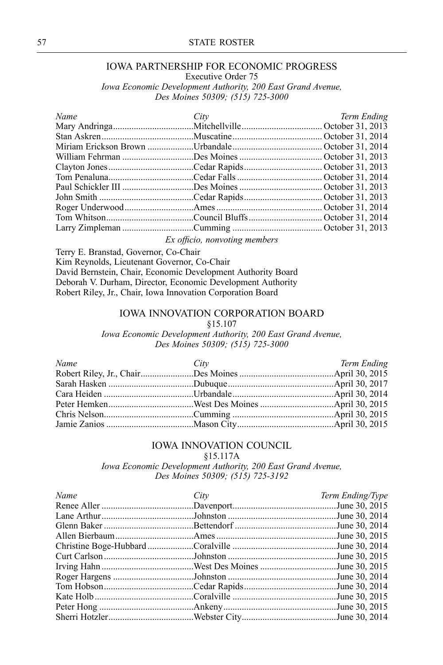### <sup>57</sup> STATE ROSTER

# IOWA PARTNERSHIP FOR ECONOMIC PROGRESS

Executive Order <sup>75</sup>

*Iowa Economic Development Authority, <sup>200</sup> East Grand Avenue, Des Moines 50309; (515) 725-3000*

| Name | City | Term Ending |
|------|------|-------------|
|      |      |             |
|      |      |             |
|      |      |             |
|      |      |             |
|      |      |             |
|      |      |             |
|      |      |             |
|      |      |             |
|      |      |             |
|      |      |             |
|      |      |             |
|      |      |             |

*Ex officio, nonvoting members*

Terry E. Branstad, Governor, Co-Chair

Kim Reynolds, Lieutenant Governor, Co-Chair

David Bernstein, Chair, Economic Development Authority Board Deborah V. Durham, Director, Economic Development Authority Robert Riley, Jr., Chair, Iowa Innovation Corporation Board

#### IOWA INNOVATION CORPORATION BOARD

#### §15.107

*Iowa Economic Development Authority, <sup>200</sup> East Grand Avenue, Des Moines 50309; (515) 725-3000*

| Name | City | Term Ending |
|------|------|-------------|
|      |      |             |
|      |      |             |
|      |      |             |
|      |      |             |
|      |      |             |
|      |      |             |
|      |      |             |

## IOWA INNOVATION COUNCIL

§15.117A

*Iowa Economic Development Authority, <sup>200</sup> East Grand Avenue, Des Moines 50309; (515) 725-3192*

| Name | City | Term Ending/Type |
|------|------|------------------|
|      |      |                  |
|      |      |                  |
|      |      |                  |
|      |      |                  |
|      |      |                  |
|      |      |                  |
|      |      |                  |
|      |      |                  |
|      |      |                  |
|      |      |                  |
|      |      |                  |
|      |      |                  |
|      |      |                  |